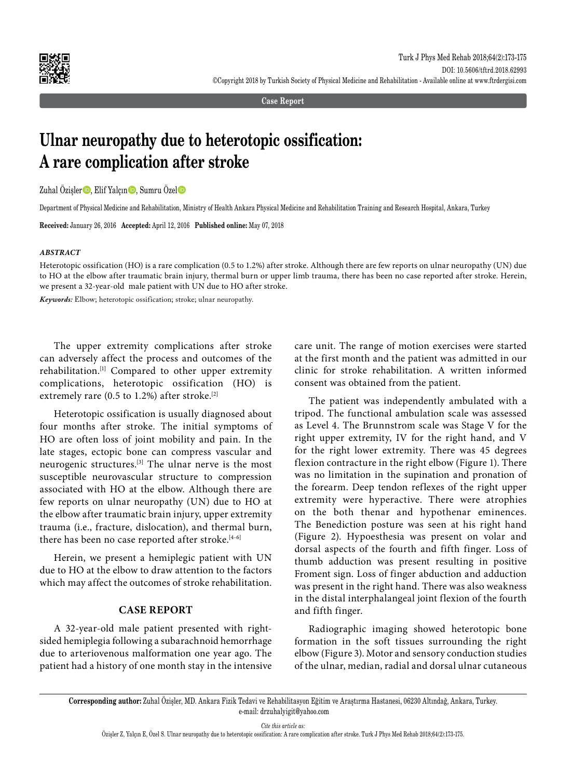

**Case Report**

# **Ulnar neuropathy due to heterotopic ossification: A rare complication after stroke**

Zuhal Özişler $\bigcirc$ , Elif Yalçın $\bigcirc$ , Sumru Özel $\bigcirc$ 

Department of Physical Medicine and Rehabilitation, Ministry of Health Ankara Physical Medicine and Rehabilitation Training and Research Hospital, Ankara, Turkey

**Received:** January 26, 2016 **Accepted:** April 12, 2016 **Published online:** May 07, 2018

### *ABSTRACT*

Heterotopic ossification (HO) is a rare complication (0.5 to 1.2%) after stroke. Although there are few reports on ulnar neuropathy (UN) due to HO at the elbow after traumatic brain injury, thermal burn or upper limb trauma, there has been no case reported after stroke. Herein, we present a 32-year-old male patient with UN due to HO after stroke.

*Keywords:* Elbow; heterotopic ossification; stroke; ulnar neuropathy.

The upper extremity complications after stroke can adversely affect the process and outcomes of the rehabilitation.[1] Compared to other upper extremity complications, heterotopic ossification (HO) is extremely rare (0.5 to 1.2%) after stroke.<sup>[2]</sup>

Heterotopic ossification is usually diagnosed about four months after stroke. The initial symptoms of HO are often loss of joint mobility and pain. In the late stages, ectopic bone can compress vascular and neurogenic structures.[3] The ulnar nerve is the most susceptible neurovascular structure to compression associated with HO at the elbow. Although there are few reports on ulnar neuropathy (UN) due to HO at the elbow after traumatic brain injury, upper extremity trauma (i.e., fracture, dislocation), and thermal burn, there has been no case reported after stroke.<sup>[4-6]</sup>

Herein, we present a hemiplegic patient with UN due to HO at the elbow to draw attention to the factors which may affect the outcomes of stroke rehabilitation.

## **CASE REPORT**

A 32-year-old male patient presented with rightsided hemiplegia following a subarachnoid hemorrhage due to arteriovenous malformation one year ago. The patient had a history of one month stay in the intensive care unit. The range of motion exercises were started at the first month and the patient was admitted in our clinic for stroke rehabilitation. A written informed consent was obtained from the patient.

The patient was independently ambulated with a tripod. The functional ambulation scale was assessed as Level 4. The Brunnstrom scale was Stage V for the right upper extremity, IV for the right hand, and V for the right lower extremity. There was 45 degrees flexion contracture in the right elbow (Figure 1). There was no limitation in the supination and pronation of the forearm. Deep tendon reflexes of the right upper extremity were hyperactive. There were atrophies on the both thenar and hypothenar eminences. The Benediction posture was seen at his right hand (Figure 2). Hypoesthesia was present on volar and dorsal aspects of the fourth and fifth finger. Loss of thumb adduction was present resulting in positive Froment sign. Loss of finger abduction and adduction was present in the right hand. There was also weakness in the distal interphalangeal joint flexion of the fourth and fifth finger.

Radiographic imaging showed heterotopic bone formation in the soft tissues surrounding the right elbow (Figure 3). Motor and sensory conduction studies of the ulnar, median, radial and dorsal ulnar cutaneous

*Cite this article as:*

**Corresponding author:** Zuhal Özişler, MD. Ankara Fizik Tedavi ve Rehabilitasyon Eğitim ve Araştırma Hastanesi, 06230 Altındağ, Ankara, Turkey. e-mail: drzuhalyigit@yahoo.com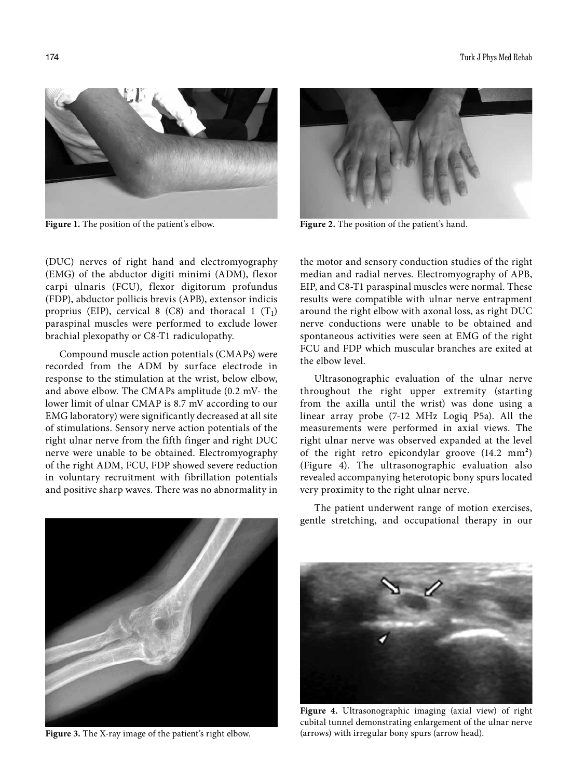

**Figure 1.** The position of the patient's elbow. **Figure 2.** The position of the patient's hand.

(DUC) nerves of right hand and electromyography (EMG) of the abductor digiti minimi (ADM), flexor carpi ulnaris (FCU), flexor digitorum profundus (FDP), abductor pollicis brevis (APB), extensor indicis proprius (EIP), cervical 8 (C8) and thoracal 1  $(T_1)$ paraspinal muscles were performed to exclude lower brachial plexopathy or C8-T1 radiculopathy.

Compound muscle action potentials (CMAPs) were recorded from the ADM by surface electrode in response to the stimulation at the wrist, below elbow, and above elbow. The CMAPs amplitude (0.2 mV- the lower limit of ulnar CMAP is 8.7 mV according to our EMG laboratory) were significantly decreased at all site of stimulations. Sensory nerve action potentials of the right ulnar nerve from the fifth finger and right DUC nerve were unable to be obtained. Electromyography of the right ADM, FCU, FDP showed severe reduction in voluntary recruitment with fibrillation potentials and positive sharp waves. There was no abnormality in



the motor and sensory conduction studies of the right median and radial nerves. Electromyography of APB, EIP, and C8-T1 paraspinal muscles were normal. These results were compatible with ulnar nerve entrapment around the right elbow with axonal loss, as right DUC nerve conductions were unable to be obtained and spontaneous activities were seen at EMG of the right FCU and FDP which muscular branches are exited at the elbow level.

Ultrasonographic evaluation of the ulnar nerve throughout the right upper extremity (starting from the axilla until the wrist) was done using a linear array probe (7-12 MHz Logiq P5a). All the measurements were performed in axial views. The right ulnar nerve was observed expanded at the level of the right retro epicondylar groove (14.2 mm²) (Figure 4). The ultrasonographic evaluation also revealed accompanying heterotopic bony spurs located very proximity to the right ulnar nerve.



**Figure 3.** The X-ray image of the patient's right elbow.

The patient underwent range of motion exercises, gentle stretching, and occupational therapy in our



**Figure 4.** Ultrasonographic imaging (axial view) of right cubital tunnel demonstrating enlargement of the ulnar nerve (arrows) with irregular bony spurs (arrow head).